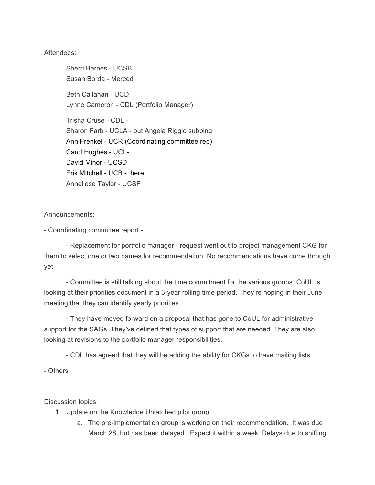## Attendees:

Sherri Barnes - UCSB Susan Borda - Merced Beth Callahan - UCD Lynne Cameron - CDL (Portfolio Manager) Trisha Cruse - CDL - Sharon Farb - UCLA - out Angela Riggio subbing Ann Frenkel - UCR (Coordinating committee rep) Carol Hughes - UCI - David Minor - UCSD Erik Mitchell - UCB - here Anneliese Taylor - UCSF

## Announcements:

- Coordinating committee report -

- Replacement for portfolio manager - request went out to project management CKG for them to select one or two names for recommendation. No recommendations have come through yet.

- Committee is still talking about the time commitment for the various groups. CoUL is looking at their priorities document in a 3-year rolling time period. They're hoping in their June meeting that they can identify yearly priorities.

- They have moved forward on a proposal that has gone to CoUL for administrative support for the SAGs. They've defined that types of support that are needed. They are also looking at revisions to the portfolio manager responsibilities.

- CDL has agreed that they will be adding the ability for CKGs to have mailing lists.

- Others

Discussion topics:

- 1. Update on the Knowledge Unlatched pilot group
	- a. The pre-implementation group is working on their recommendation. It was due March 28, but has been delayed. Expect it within a week. Delays due to shifting